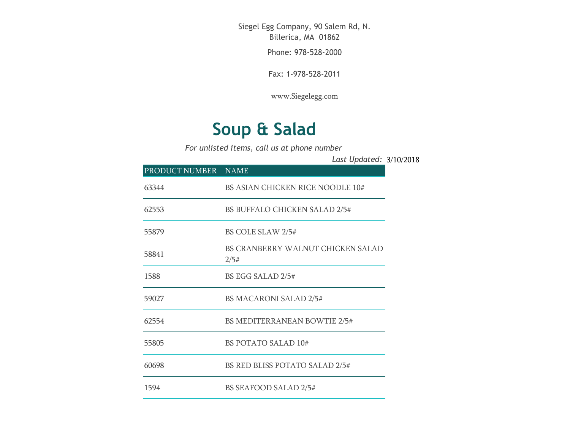Siegel Egg Company, 90 Salem Rd, N. Billerica, MA 01862

Phone: 978-528-2000

Fax: 1-978-528-2011

[www.Siegelegg.com](http://www.siegelegg.com/)

## **Soup & Salad**

*For unlisted items, call us at phone number*

3/10/2018 *Last Updated:*

| PRODUCT NUMBER NAME |                                           |
|---------------------|-------------------------------------------|
| 63344               | BS ASIAN CHICKEN RICE NOODLE 10#          |
| 62553               | <b>BS BUFFALO CHICKEN SALAD 2/5#</b>      |
| 55879               | BS COLE SLAW 2/5#                         |
| 58841               | BS CRANBERRY WALNUT CHICKEN SALAD<br>2/5# |
| 1588                | BS EGG SALAD 2/5#                         |
| 59027               | <b>BS MACARONI SALAD 2/5#</b>             |
| 62554               | <b>BS MEDITERRANEAN BOWTIE 2/5#</b>       |
| 55805               | <b>BS POTATO SALAD 10#</b>                |
| 60698               | BS RED BLISS POTATO SALAD 2/5#            |
| 1594                | <b>BS SEAFOOD SALAD 2/5#</b>              |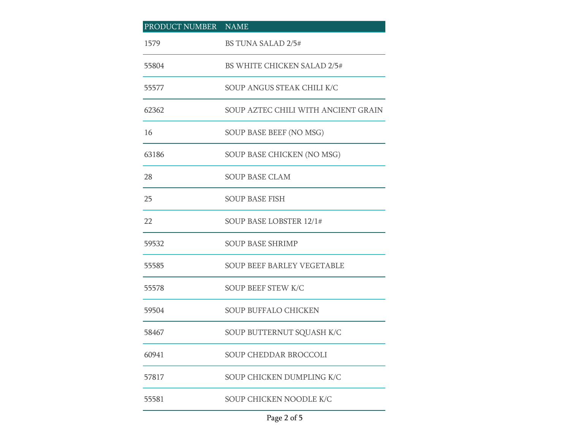| PRODUCT NUMBER NAME |                                     |  |
|---------------------|-------------------------------------|--|
| 1579                | <b>BS TUNA SALAD 2/5#</b>           |  |
| 55804               | <b>BS WHITE CHICKEN SALAD 2/5#</b>  |  |
| 55577               | SOUP ANGUS STEAK CHILI K/C          |  |
| 62362               | SOUP AZTEC CHILI WITH ANCIENT GRAIN |  |
| 16                  | SOUP BASE BEEF (NO MSG)             |  |
| 63186               | SOUP BASE CHICKEN (NO MSG)          |  |
| 28                  | <b>SOUP BASE CLAM</b>               |  |
| 25                  | <b>SOUP BASE FISH</b>               |  |
| 22                  | SOUP BASE LOBSTER 12/1#             |  |
| 59532               | <b>SOUP BASE SHRIMP</b>             |  |
| 55585               | <b>SOUP BEEF BARLEY VEGETABLE</b>   |  |
| 55578               | <b>SOUP BEEF STEW K/C</b>           |  |
| 59504               | <b>SOUP BUFFALO CHICKEN</b>         |  |
| 58467               | SOUP BUTTERNUT SQUASH K/C           |  |
| 60941               | <b>SOUP CHEDDAR BROCCOLI</b>        |  |
| 57817               | SOUP CHICKEN DUMPLING K/C           |  |
| 55581               | SOUP CHICKEN NOODLE K/C             |  |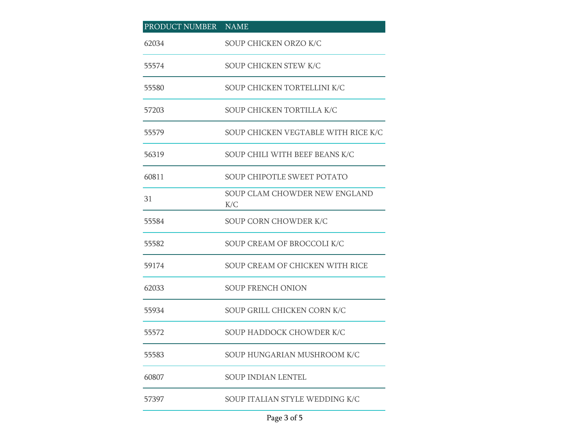| PRODUCT NUMBER NAME |                                      |
|---------------------|--------------------------------------|
| 62034               | SOUP CHICKEN ORZO K/C                |
| 55574               | SOUP CHICKEN STEW K/C                |
| 55580               | SOUP CHICKEN TORTELLINI K/C          |
| 57203               | SOUP CHICKEN TORTILLA K/C            |
| 55579               | SOUP CHICKEN VEGTABLE WITH RICE K/C  |
| 56319               | SOUP CHILI WITH BEEF BEANS K/C       |
| 60811               | <b>SOUP CHIPOTLE SWEET POTATO</b>    |
| 31                  | SOUP CLAM CHOWDER NEW ENGLAND<br>K/C |
| 55584               | SOUP CORN CHOWDER K/C                |
| 55582               | SOUP CREAM OF BROCCOLI K/C           |
| 59174               | SOUP CREAM OF CHICKEN WITH RICE      |
| 62033               | <b>SOUP FRENCH ONION</b>             |
| 55934               | SOUP GRILL CHICKEN CORN K/C          |
| 55572               | SOUP HADDOCK CHOWDER K/C             |
| 55583               | SOUP HUNGARIAN MUSHROOM K/C          |
| 60807               | <b>SOUP INDIAN LENTEL</b>            |
| 57397               | SOUP ITALIAN STYLE WEDDING K/C       |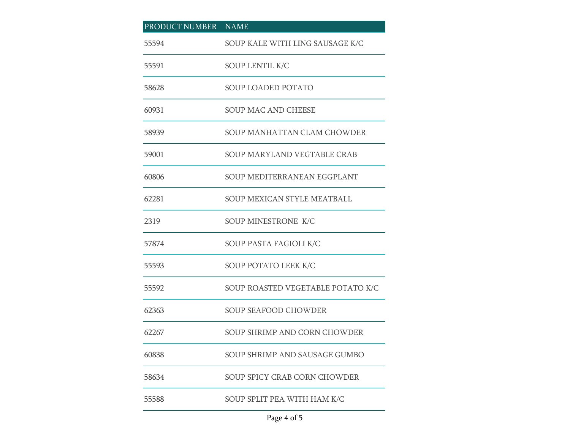| PRODUCT NUMBER NAME |                                     |
|---------------------|-------------------------------------|
| 55594               | SOUP KALE WITH LING SAUSAGE K/C     |
| 55591               | SOUP LENTIL K/C                     |
| 58628               | SOUP LOADED POTATO                  |
| 60931               | <b>SOUP MAC AND CHEESE</b>          |
| 58939               | SOUP MANHATTAN CLAM CHOWDER         |
| 59001               | <b>SOUP MARYLAND VEGTABLE CRAB</b>  |
| 60806               | SOUP MEDITERRANEAN EGGPLANT         |
| 62281               | SOUP MEXICAN STYLE MEATBALL         |
| 2319                | SOUP MINESTRONE K/C                 |
| 57874               | SOUP PASTA FAGIOLI K/C              |
| 55593               | SOUP POTATO LEEK K/C                |
| 55592               | SOUP ROASTED VEGETABLE POTATO K/C   |
| 62363               | <b>SOUP SEAFOOD CHOWDER</b>         |
| 62267               | SOUP SHRIMP AND CORN CHOWDER        |
| 60838               | SOUP SHRIMP AND SAUSAGE GUMBO       |
| 58634               | <b>SOUP SPICY CRAB CORN CHOWDER</b> |
| 55588               | SOUP SPLIT PEA WITH HAM K/C         |